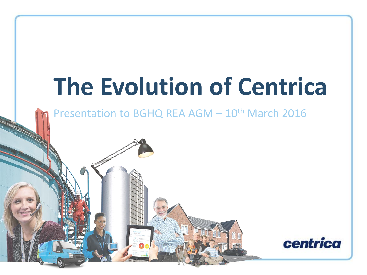# **The Evolution of Centrica**

Presentation to BGHQ REA AGM - 10<sup>th</sup> March 2016

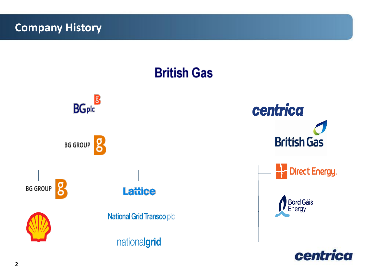#### **Company History**

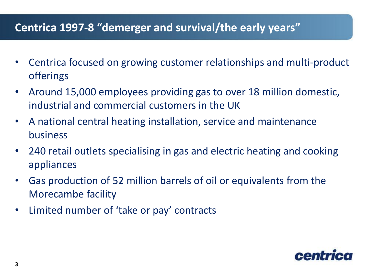#### **Centrica 1997-8 "demerger and survival/the early years"**

- Centrica focused on growing customer relationships and multi-product offerings
- Around 15,000 employees providing gas to over 18 million domestic, industrial and commercial customers in the UK
- A national central heating installation, service and maintenance business
- 240 retail outlets specialising in gas and electric heating and cooking appliances
- Gas production of 52 million barrels of oil or equivalents from the Morecambe facility
- Limited number of 'take or pay' contracts

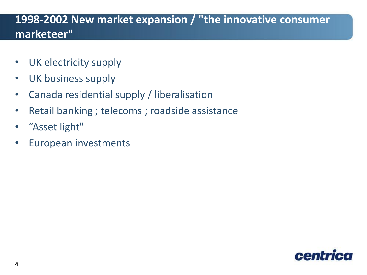#### **1998-2002 New market expansion / "the innovative consumer marketeer"**

- UK electricity supply
- UK business supply
- Canada residential supply / liberalisation
- Retail banking ; telecoms ; roadside assistance
- "Asset light"
- European investments

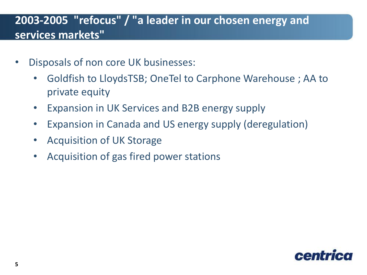# **2003-2005 "refocus" / "a leader in our chosen energy and services markets"**

- Disposals of non core UK businesses:
	- Goldfish to LloydsTSB; OneTel to Carphone Warehouse ; AA to private equity
	- Expansion in UK Services and B2B energy supply
	- Expansion in Canada and US energy supply (deregulation)
	- Acquisition of UK Storage
	- Acquisition of gas fired power stations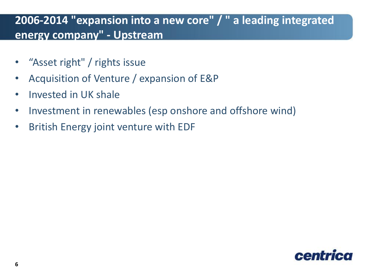## **2006-2014 "expansion into a new core" / " a leading integrated energy company" - Upstream**

- "Asset right" / rights issue
- Acquisition of Venture / expansion of E&P
- Invested in UK shale
- Investment in renewables (esp onshore and offshore wind)
- British Energy joint venture with EDF

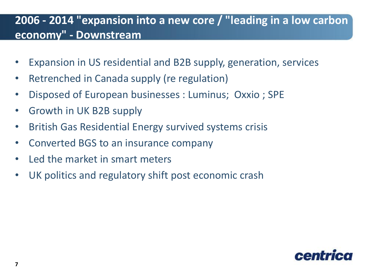## **2006 - 2014 "expansion into a new core / "leading in a low carbon economy" - Downstream**

- Expansion in US residential and B2B supply, generation, services
- Retrenched in Canada supply (re regulation)
- Disposed of European businesses : Luminus; Oxxio ; SPE
- Growth in UK B2B supply
- British Gas Residential Energy survived systems crisis
- Converted BGS to an insurance company
- Led the market in smart meters
- UK politics and regulatory shift post economic crash

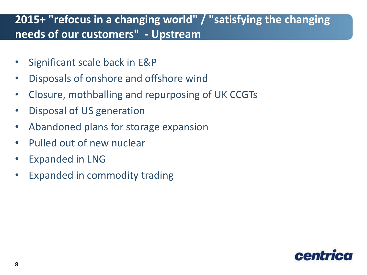### **2015+ "refocus in a changing world" / "satisfying the changing needs of our customers" - Upstream**

- Significant scale back in E&P
- Disposals of onshore and offshore wind
- Closure, mothballing and repurposing of UK CCGTs
- Disposal of US generation
- Abandoned plans for storage expansion
- Pulled out of new nuclear
- Expanded in LNG
- Expanded in commodity trading

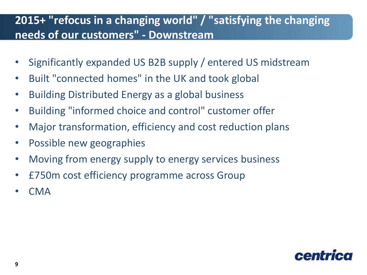## **2015+ "refocus in a changing world" / "satisfying the changing needs of our customers" - Downstream**

- Significantly expanded US B2B supply / entered US midstream
- Built "connected homes" in the UK and took global
- Building Distributed Energy as a global business
- Building "informed choice and control" customer offer
- Major transformation, efficiency and cost reduction plans
- Possible new geographies
- Moving from energy supply to energy services business
- £750m cost efficiency programme across Group
- CMA

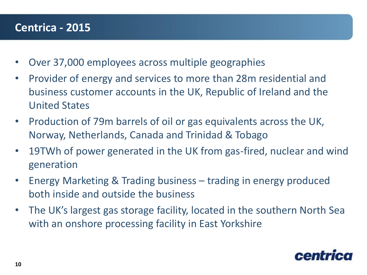#### **Centrica - 2015**

- Over 37,000 employees across multiple geographies
- Provider of energy and services to more than 28m residential and business customer accounts in the UK, Republic of Ireland and the United States
- Production of 79m barrels of oil or gas equivalents across the UK, Norway, Netherlands, Canada and Trinidad & Tobago
- 19TWh of power generated in the UK from gas-fired, nuclear and wind generation
- Energy Marketing & Trading business trading in energy produced both inside and outside the business
- The UK's largest gas storage facility, located in the southern North Sea with an onshore processing facility in East Yorkshire